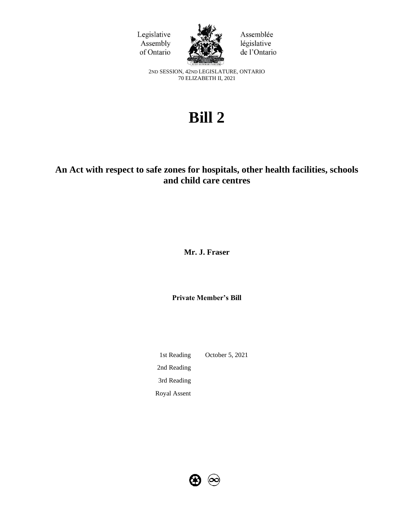



Assemblée législative de l'Ontario

2ND SESSION, 42ND LEGISLATURE, ONTARIO 70 ELIZABETH II, 2021

# **Bill 2**

# **An Act with respect to safe zones for hospitals, other health facilities, schools and child care centres**

**Mr. J. Fraser**

**Private Member's Bill**

1st Reading October 5, 2021 2nd Reading 3rd Reading Royal Assent

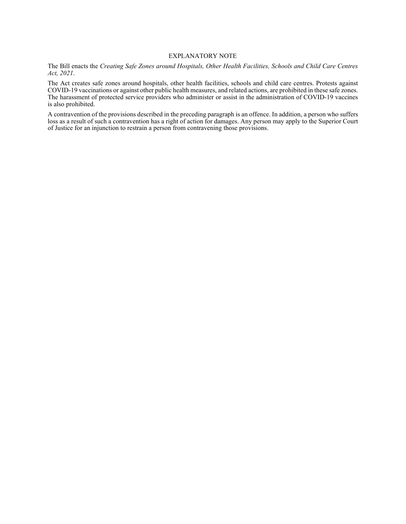#### EXPLANATORY NOTE

The Bill enacts the *Creating Safe Zones around Hospitals, Other Health Facilities, Schools and Child Care Centres Act, 2021*.

The Act creates safe zones around hospitals, other health facilities, schools and child care centres. Protests against COVID-19 vaccinations or against other public health measures, and related actions, are prohibited in these safe zones. The harassment of protected service providers who administer or assist in the administration of COVID-19 vaccines is also prohibited.

A contravention of the provisions described in the preceding paragraph is an offence. In addition, a person who suffers loss as a result of such a contravention has a right of action for damages. Any person may apply to the Superior Court of Justice for an injunction to restrain a person from contravening those provisions.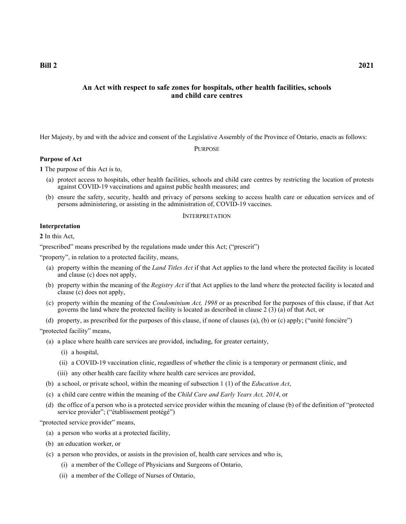**Bill 2 2021**

# **An Act with respect to safe zones for hospitals, other health facilities, schools and child care centres**

Her Majesty, by and with the advice and consent of the Legislative Assembly of the Province of Ontario, enacts as follows:

PURPOSE

#### **Purpose of Act**

**1** The purpose of this Act is to,

- (a) protect access to hospitals, other health facilities, schools and child care centres by restricting the location of protests against COVID-19 vaccinations and against public health measures; and
- (b) ensure the safety, security, health and privacy of persons seeking to access health care or education services and of persons administering, or assisting in the administration of, COVID-19 vaccines.

#### INTERPRETATION

# **Interpretation**

**2** In this Act,

"prescribed" means prescribed by the regulations made under this Act; ("prescrit")

"property", in relation to a protected facility, means,

- (a) property within the meaning of the *Land Titles Act* if that Act applies to the land where the protected facility is located and clause (c) does not apply,
- (b) property within the meaning of the *Registry Act* if that Act applies to the land where the protected facility is located and clause (c) does not apply,
- (c) property within the meaning of the *Condominium Act, 1998* or as prescribed for the purposes of this clause, if that Act governs the land where the protected facility is located as described in clause 2 (3) (a) of that Act, or
- (d) property, as prescribed for the purposes of this clause, if none of clauses (a), (b) or (c) apply; ("unité foncière")

"protected facility" means,

- (a) a place where health care services are provided, including, for greater certainty,
	- (i) a hospital,
	- (ii) a COVID-19 vaccination clinic, regardless of whether the clinic is a temporary or permanent clinic, and
	- (iii) any other health care facility where health care services are provided,
- (b) a school, or private school, within the meaning of subsection 1 (1) of the *Education Act*,
- (c) a child care centre within the meaning of the *Child Care and Early Years Act, 2014*, or
- (d) the office of a person who is a protected service provider within the meaning of clause (b) of the definition of "protected service provider"; ("établissement protégé")

"protected service provider" means,

- (a) a person who works at a protected facility,
- (b) an education worker, or
- (c) a person who provides, or assists in the provision of, health care services and who is,
	- (i) a member of the College of Physicians and Surgeons of Ontario,
	- (ii) a member of the College of Nurses of Ontario,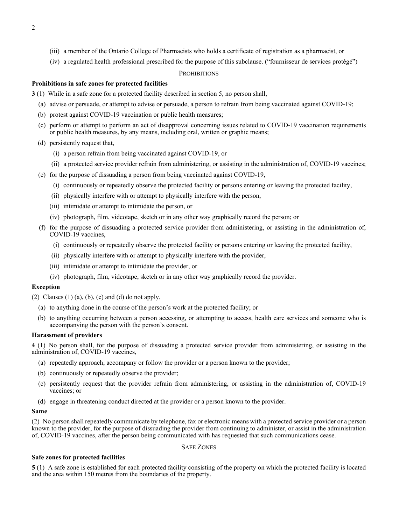- (iii) a member of the Ontario College of Pharmacists who holds a certificate of registration as a pharmacist, or
- (iv) a regulated health professional prescribed for the purpose of this subclause. ("fournisseur de services protégé")

#### **PROHIBITIONS**

#### **Prohibitions in safe zones for protected facilities**

- **3** (1) While in a safe zone for a protected facility described in section 5, no person shall,
	- (a) advise or persuade, or attempt to advise or persuade, a person to refrain from being vaccinated against COVID-19;
	- (b) protest against COVID-19 vaccination or public health measures;
	- (c) perform or attempt to perform an act of disapproval concerning issues related to COVID-19 vaccination requirements or public health measures, by any means, including oral, written or graphic means;
	- (d) persistently request that,
		- (i) a person refrain from being vaccinated against COVID-19, or
		- (ii) a protected service provider refrain from administering, or assisting in the administration of, COVID-19 vaccines;
	- (e) for the purpose of dissuading a person from being vaccinated against COVID-19,
		- (i) continuously or repeatedly observe the protected facility or persons entering or leaving the protected facility,
		- (ii) physically interfere with or attempt to physically interfere with the person,
		- (iii) intimidate or attempt to intimidate the person, or
		- (iv) photograph, film, videotape, sketch or in any other way graphically record the person; or
	- (f) for the purpose of dissuading a protected service provider from administering, or assisting in the administration of, COVID-19 vaccines,
		- (i) continuously or repeatedly observe the protected facility or persons entering or leaving the protected facility,
		- (ii) physically interfere with or attempt to physically interfere with the provider,
		- (iii) intimidate or attempt to intimidate the provider, or
		- (iv) photograph, film, videotape, sketch or in any other way graphically record the provider.

#### **Exception**

(2) Clauses  $(1)$  (a),  $(b)$ ,  $(c)$  and  $(d)$  do not apply,

- (a) to anything done in the course of the person's work at the protected facility; or
- (b) to anything occurring between a person accessing, or attempting to access, health care services and someone who is accompanying the person with the person's consent.

#### **Harassment of providers**

**4** (1) No person shall, for the purpose of dissuading a protected service provider from administering, or assisting in the administration of, COVID-19 vaccines,

- (a) repeatedly approach, accompany or follow the provider or a person known to the provider;
- (b) continuously or repeatedly observe the provider;
- (c) persistently request that the provider refrain from administering, or assisting in the administration of, COVID-19 vaccines; or
- (d) engage in threatening conduct directed at the provider or a person known to the provider.

#### **Same**

(2) No person shall repeatedly communicate by telephone, fax or electronic means with a protected service provider or a person known to the provider, for the purpose of dissuading the provider from continuing to administer, or assist in the administration of, COVID-19 vaccines, after the person being communicated with has requested that such communications cease.

## SAFE ZONES

### **Safe zones for protected facilities**

**5** (1) A safe zone is established for each protected facility consisting of the property on which the protected facility is located and the area within 150 metres from the boundaries of the property.